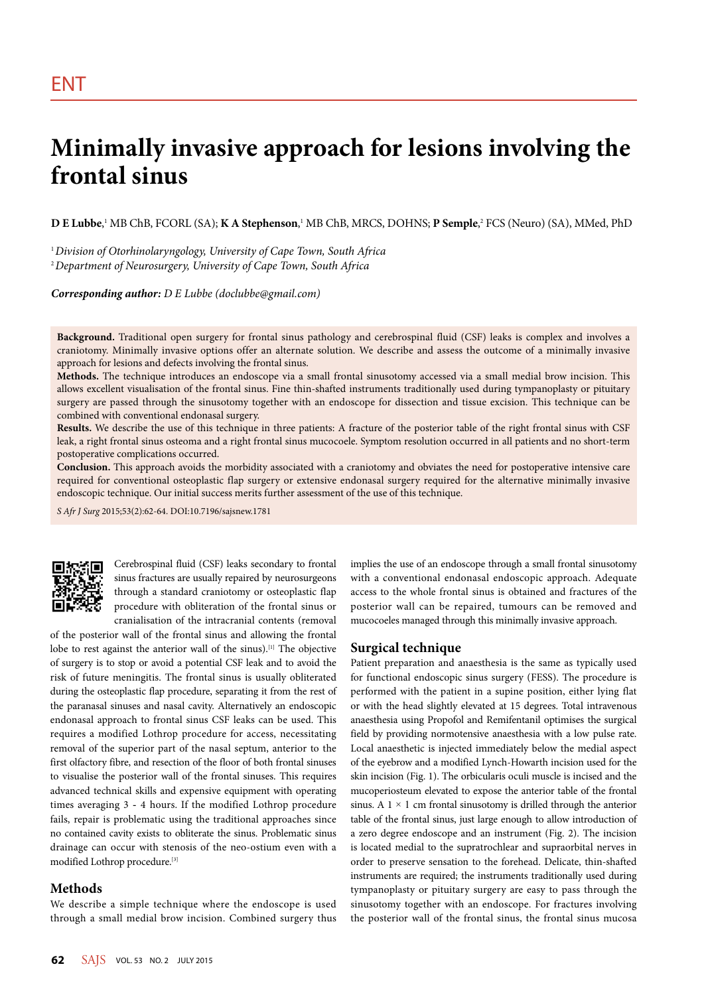# **Minimally invasive approach for lesions involving the frontal sinus**

 ${\bf D}$  **E Lubbe**,' MB ChB, FCORL (SA); **K A Stephenson**,' MB ChB, MRCS, DOHNS; **P Semple**,<sup>2</sup> FCS (Neuro) (SA), MMed, PhD

<sup>1</sup>*Division of Otorhinolaryngology, University of Cape Town, South Africa* <sup>2</sup>*Department of Neurosurgery, University of Cape Town, South Africa*

*Corresponding author: D E Lubbe (doclubbe@gmail.com)*

**Background.** Traditional open surgery for frontal sinus pathology and cerebrospinal fluid (CSF) leaks is complex and involves a craniotomy. Minimally invasive options offer an alternate solution. We describe and assess the outcome of a minimally invasive approach for lesions and defects involving the frontal sinus.

**Methods.** The technique introduces an endoscope via a small frontal sinusotomy accessed via a small medial brow incision. This allows excellent visualisation of the frontal sinus. Fine thin-shafted instruments traditionally used during tympanoplasty or pituitary surgery are passed through the sinusotomy together with an endoscope for dissection and tissue excision. This technique can be combined with conventional endonasal surgery.

**Results.** We describe the use of this technique in three patients: A fracture of the posterior table of the right frontal sinus with CSF leak, a right frontal sinus osteoma and a right frontal sinus mucocoele. Symptom resolution occurred in all patients and no short-term postoperative complications occurred.

**Conclusion.** This approach avoids the morbidity associated with a craniotomy and obviates the need for postoperative intensive care required for conventional osteoplastic flap surgery or extensive endonasal surgery required for the alternative minimally invasive endoscopic technique. Our initial success merits further assessment of the use of this technique.

*S Afr J Surg* 2015;53(2):62-64. DOI:10.7196/sajsnew.1781



Cerebrospinal fluid (CSF) leaks secondary to frontal sinus fractures are usually repaired by neurosurgeons through a standard craniotomy or osteoplastic flap procedure with obliteration of the frontal sinus or cranialisation of the intracranial contents (removal

of the posterior wall of the frontal sinus and allowing the frontal lobe to rest against the anterior wall of the sinus).[1] The objective of surgery is to stop or avoid a potential CSF leak and to avoid the risk of future meningitis. The frontal sinus is usually obliterated during the osteoplastic flap procedure, separating it from the rest of the paranasal sinuses and nasal cavity. Alternatively an endoscopic endonasal approach to frontal sinus CSF leaks can be used. This requires a modified Lothrop procedure for access, necessitating removal of the superior part of the nasal septum, anterior to the first olfactory fibre, and resection of the floor of both frontal sinuses to visualise the posterior wall of the frontal sinuses. This requires advanced technical skills and expensive equipment with operating times averaging 3 - 4 hours. If the modified Lothrop procedure fails, repair is problematic using the traditional approaches since no contained cavity exists to obliterate the sinus. Problematic sinus drainage can occur with stenosis of the neo-ostium even with a modified Lothrop procedure.[3]

## **Methods**

We describe a simple technique where the endoscope is used through a small medial brow incision. Combined surgery thus

implies the use of an endoscope through a small frontal sinusotomy with a conventional endonasal endoscopic approach. Adequate access to the whole frontal sinus is obtained and fractures of the posterior wall can be repaired, tumours can be removed and mucocoeles managed through this minimally invasive approach.

## **Surgical technique**

Patient preparation and anaesthesia is the same as typically used for functional endoscopic sinus surgery (FESS). The procedure is performed with the patient in a supine position, either lying flat or with the head slightly elevated at 15 degrees. Total intravenous anaesthesia using Propofol and Remifentanil optimises the surgical field by providing normotensive anaesthesia with a low pulse rate. Local anaesthetic is injected immediately below the medial aspect of the eyebrow and a modified Lynch-Howarth incision used for the skin incision (Fig. 1). The orbicularis oculi muscle is incised and the mucoperiosteum elevated to expose the anterior table of the frontal sinus. A  $1 \times 1$  cm frontal sinusotomy is drilled through the anterior table of the frontal sinus, just large enough to allow introduction of a zero degree endoscope and an instrument (Fig. 2). The incision is located medial to the supratrochlear and supraorbital nerves in order to preserve sensation to the forehead. Delicate, thin-shafted instruments are required; the instruments traditionally used during tympanoplasty or pituitary surgery are easy to pass through the sinusotomy together with an endoscope. For fractures involving the posterior wall of the frontal sinus, the frontal sinus mucosa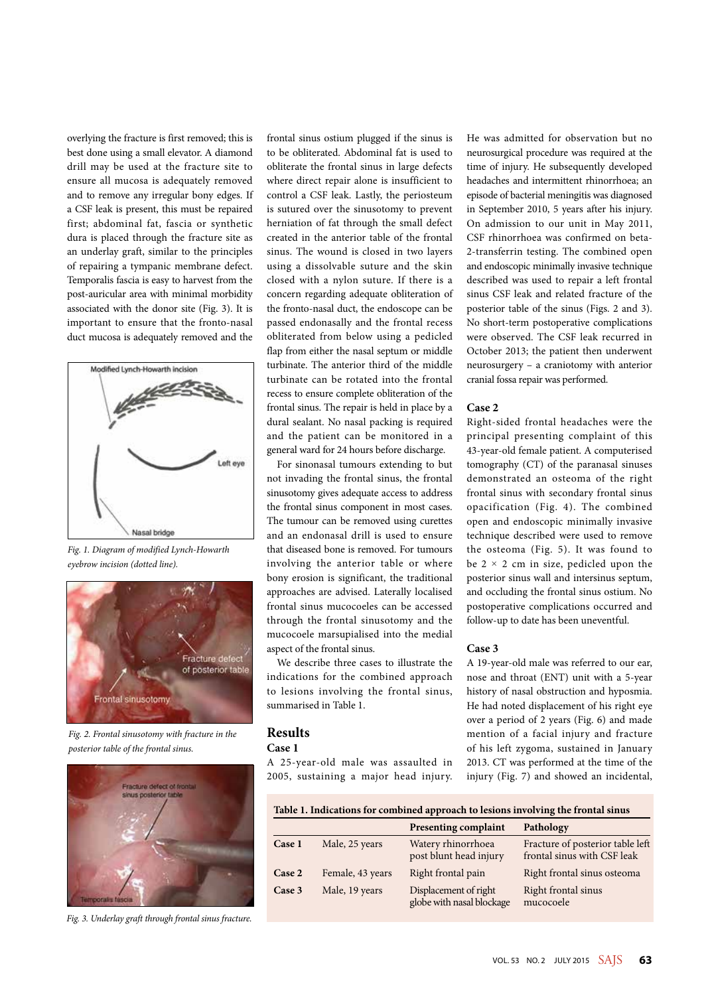overlying the fracture is first removed; this is best done using a small elevator. A diamond drill may be used at the fracture site to ensure all mucosa is adequately removed and to remove any irregular bony edges. If a CSF leak is present, this must be repaired first; abdominal fat, fascia or synthetic dura is placed through the fracture site as an underlay graft, similar to the principles of repairing a tympanic membrane defect. Temporalis fascia is easy to harvest from the post-auricular area with minimal morbidity associated with the donor site (Fig. 3). It is important to ensure that the fronto-nasal duct mucosa is adequately removed and the



*Fig. 1. Diagram of modified Lynch-Howarth eyebrow incision (dotted line).*



*Fig. 2. Frontal sinusotomy with fracture in the posterior table of the frontal sinus.*



*Fig. 3. Underlay graft through frontal sinus fracture.*

frontal sinus ostium plugged if the sinus is to be obliterated. Abdominal fat is used to obliterate the frontal sinus in large defects where direct repair alone is insufficient to control a CSF leak. Lastly, the periosteum is sutured over the sinusotomy to prevent herniation of fat through the small defect created in the anterior table of the frontal sinus. The wound is closed in two layers using a dissolvable suture and the skin closed with a nylon suture. If there is a concern regarding adequate obliteration of the fronto-nasal duct, the endoscope can be passed endonasally and the frontal recess obliterated from below using a pedicled flap from either the nasal septum or middle turbinate. The anterior third of the middle turbinate can be rotated into the frontal recess to ensure complete obliteration of the frontal sinus. The repair is held in place by a dural sealant. No nasal packing is required and the patient can be monitored in a general ward for 24 hours before discharge.

For sinonasal tumours extending to but not invading the frontal sinus, the frontal sinusotomy gives adequate access to address the frontal sinus component in most cases. The tumour can be removed using curettes and an endonasal drill is used to ensure that diseased bone is removed. For tumours involving the anterior table or where bony erosion is significant, the traditional approaches are advised. Laterally localised frontal sinus mucocoeles can be accessed through the frontal sinusotomy and the mucocoele marsupialised into the medial aspect of the frontal sinus.

We describe three cases to illustrate the indications for the combined approach to lesions involving the frontal sinus, summarised in Table 1.

## **Results**

#### **Case 1**

A 25-year-old male was assaulted in 2005, sustaining a major head injury. He was admitted for observation but no neurosurgical procedure was required at the time of injury. He subsequently developed headaches and intermittent rhinorrhoea; an episode of bacterial meningitis was diagnosed in September 2010, 5 years after his injury. On admission to our unit in May 2011, CSF rhinorrhoea was confirmed on beta-2-transferrin testing. The combined open and endoscopic minimally invasive technique described was used to repair a left frontal sinus CSF leak and related fracture of the posterior table of the sinus (Figs. 2 and 3). No short-term postoperative complications were observed. The CSF leak recurred in October 2013; the patient then underwent neurosurgery – a craniotomy with anterior cranial fossa repair was performed.

### **Case 2**

Right-sided frontal headaches were the principal presenting complaint of this 43-year-old female patient. A computerised tomography (CT) of the paranasal sinuses demonstrated an osteoma of the right frontal sinus with secondary frontal sinus opacification (Fig. 4). The combined open and endoscopic minimally invasive technique described were used to remove the osteoma (Fig. 5). It was found to be  $2 \times 2$  cm in size, pedicled upon the posterior sinus wall and intersinus septum, and occluding the frontal sinus ostium. No postoperative complications occurred and follow-up to date has been uneventful.

## **Case 3**

A 19-year-old male was referred to our ear, nose and throat (ENT) unit with a 5-year history of nasal obstruction and hyposmia. He had noted displacement of his right eye over a period of 2 years (Fig. 6) and made mention of a facial injury and fracture of his left zygoma, sustained in January 2013. CT was performed at the time of the injury (Fig. 7) and showed an incidental,

| Table 1. Indications for combined approach to lesions involving the frontal sinus |                  |                                                    |                                                                 |
|-----------------------------------------------------------------------------------|------------------|----------------------------------------------------|-----------------------------------------------------------------|
|                                                                                   |                  | <b>Presenting complaint</b>                        | Pathology                                                       |
| Case 1                                                                            | Male, 25 years   | Watery rhinorrhoea<br>post blunt head injury       | Fracture of posterior table left<br>frontal sinus with CSF leak |
| Case 2                                                                            | Female, 43 years | Right frontal pain                                 | Right frontal sinus osteoma                                     |
| Case 3                                                                            | Male, 19 years   | Displacement of right<br>globe with nasal blockage | Right frontal sinus<br>mucocoele                                |